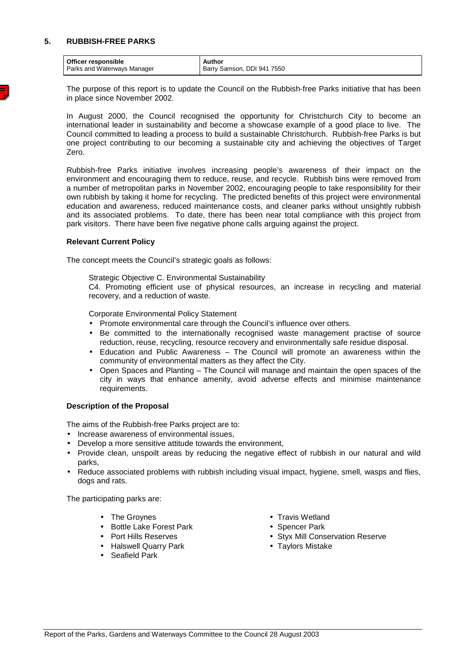## **5. RUBBISH-FREE PARKS**

| Officer responsible                | Author                     |
|------------------------------------|----------------------------|
| <b>Parks and Waterways Manager</b> | Barry Samson, DDI 941 7550 |

 The purpose of this report is to update the Council on the Rubbish-free Parks initiative that has been in place since November 2002.

In August 2000, the Council recognised the opportunity for Christchurch City to become an international leader in sustainability and become a showcase example of a good place to live. The Council committed to leading a process to build a sustainable Christchurch. Rubbish-free Parks is but one project contributing to our becoming a sustainable city and achieving the objectives of Target Zero.

Rubbish-free Parks initiative involves increasing people's awareness of their impact on the environment and encouraging them to reduce, reuse, and recycle. Rubbish bins were removed from a number of metropolitan parks in November 2002, encouraging people to take responsibility for their own rubbish by taking it home for recycling. The predicted benefits of this project were environmental education and awareness, reduced maintenance costs, and cleaner parks without unsightly rubbish and its associated problems. To date, there has been near total compliance with this project from park visitors. There have been five negative phone calls arguing against the project.

## **Relevant Current Policy**

The concept meets the Council's strategic goals as follows:

Strategic Objective C. Environmental Sustainability

 C4. Promoting efficient use of physical resources, an increase in recycling and material recovery, and a reduction of waste.

Corporate Environmental Policy Statement

- Promote environmental care through the Council's influence over others.
- Be committed to the internationally recognised waste management practise of source reduction, reuse, recycling, resource recovery and environmentally safe residue disposal.
- Education and Public Awareness The Council will promote an awareness within the community of environmental matters as they affect the City.
- Open Spaces and Planting The Council will manage and maintain the open spaces of the city in ways that enhance amenity, avoid adverse effects and minimise maintenance requirements.

## **Description of the Proposal**

The aims of the Rubbish-free Parks project are to:

- Increase awareness of environmental issues,
- Develop a more sensitive attitude towards the environment,
- Provide clean, unspoilt areas by reducing the negative effect of rubbish in our natural and wild parks,
- Reduce associated problems with rubbish including visual impact, hygiene, smell, wasps and flies, dogs and rats.

The participating parks are:

- 
- Bottle Lake Forest Park Spencer Park
- 
- Halswell Quarry Park Taylors Mistake
- Seafield Park
- The Groynes Travis Wetland
	-
- Port Hills Reserves Styx Mill Conservation Reserve
	-